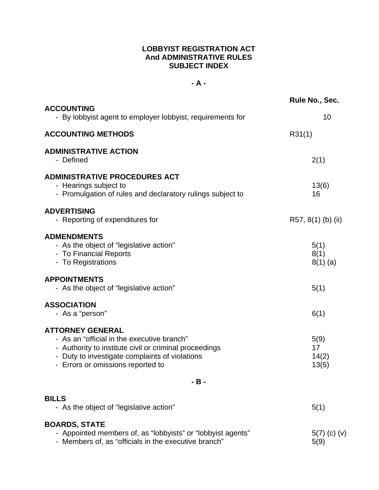#### **LOBBYIST REGISTRATION ACT And ADMINISTRATIVE RULES SUBJECT INDEX**

#### **- A -**

| <b>ACCOUNTING</b>                                                                                                                                                                                                      | Rule No., Sec.               |
|------------------------------------------------------------------------------------------------------------------------------------------------------------------------------------------------------------------------|------------------------------|
| - By lobbyist agent to employer lobbyist, requirements for                                                                                                                                                             | 10                           |
| <b>ACCOUNTING METHODS</b>                                                                                                                                                                                              | R31(1)                       |
| <b>ADMINISTRATIVE ACTION</b><br>- Defined                                                                                                                                                                              | 2(1)                         |
| <b>ADMINISTRATIVE PROCEDURES ACT</b><br>- Hearings subject to<br>- Promulgation of rules and declaratory rulings subject to                                                                                            | 13(6)<br>16                  |
| <b>ADVERTISING</b><br>- Reporting of expenditures for                                                                                                                                                                  | R57, $8(1)$ (b) (ii)         |
| <b>ADMENDMENTS</b><br>- As the object of "legislative action"<br>- To Financial Reports<br>- To Registrations                                                                                                          | 5(1)<br>8(1)<br>$8(1)$ (a)   |
| <b>APPOINTMENTS</b><br>- As the object of "legislative action"                                                                                                                                                         | 5(1)                         |
| <b>ASSOCIATION</b><br>- As a "person"                                                                                                                                                                                  | 6(1)                         |
| <b>ATTORNEY GENERAL</b><br>- As an "official in the executive branch"<br>- Authority to institute civil or criminal proceedings<br>- Duty to investigate complaints of violations<br>- Errors or omissions reported to | 5(9)<br>17<br>14(2)<br>13(5) |
| $-B -$                                                                                                                                                                                                                 |                              |
| <b>BILLS</b><br>- As the object of "legislative action"                                                                                                                                                                | 5(1)                         |
| <b>BOARDS, STATE</b><br>Annointed members of as "lebbyists" or "lebbyist agents"                                                                                                                                       | $E(T)$ (a) (y                |

- Appointed members of, as "lobbyists" or "lobbyist agents" 5(7) (c) (v) update: - Members of, as "officials in the executive branch" 5(9)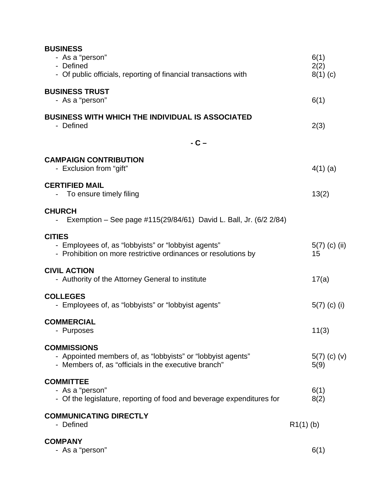| <b>BUSINESS</b><br>- As a "person"<br>- Defined<br>- Of public officials, reporting of financial transactions with                        | 6(1)<br>2(2)<br>$8(1)$ (c) |
|-------------------------------------------------------------------------------------------------------------------------------------------|----------------------------|
| <b>BUSINESS TRUST</b><br>- As a "person"                                                                                                  | 6(1)                       |
| <b>BUSINESS WITH WHICH THE INDIVIDUAL IS ASSOCIATED</b><br>- Defined                                                                      | 2(3)                       |
| $-C -$                                                                                                                                    |                            |
| <b>CAMPAIGN CONTRIBUTION</b><br>- Exclusion from "gift"                                                                                   | $4(1)$ (a)                 |
| <b>CERTIFIED MAIL</b><br>To ensure timely filing                                                                                          | 13(2)                      |
| <b>CHURCH</b><br>Exemption – See page #115(29/84/61) David L. Ball, Jr. (6/2 2/84)                                                        |                            |
| <b>CITIES</b><br>- Employees of, as "lobbyists" or "lobbyist agents"<br>- Prohibition on more restrictive ordinances or resolutions by    | $5(7)$ (c) (ii)<br>15      |
| <b>CIVIL ACTION</b><br>- Authority of the Attorney General to institute                                                                   | 17(a)                      |
| <b>COLLEGES</b><br>- Employees of, as "lobbyists" or "lobbyist agents"                                                                    | $5(7)$ (c) (i)             |
| <b>COMMERCIAL</b><br>- Purposes                                                                                                           | 11(3)                      |
| <b>COMMISSIONS</b><br>- Appointed members of, as "lobbyists" or "lobbyist agents"<br>- Members of, as "officials in the executive branch" | $5(7)$ (c) (v)<br>5(9)     |
| <b>COMMITTEE</b><br>- As a "person"<br>- Of the legislature, reporting of food and beverage expenditures for                              | 6(1)<br>8(2)               |
| <b>COMMUNICATING DIRECTLY</b><br>- Defined                                                                                                | $R1(1)$ (b)                |
| <b>COMPANY</b><br>- As a "person"                                                                                                         | 6(1)                       |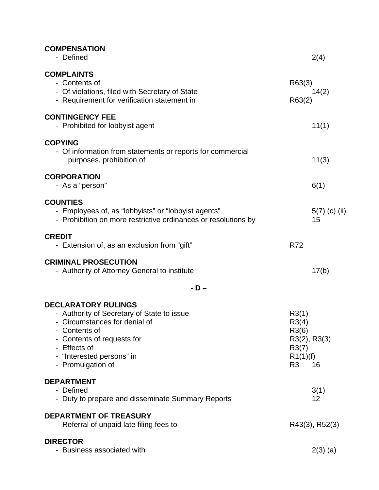| <b>COMPENSATION</b><br>- Defined                                                                                                                                                                                           |                                                                                     | 2(4)                  |
|----------------------------------------------------------------------------------------------------------------------------------------------------------------------------------------------------------------------------|-------------------------------------------------------------------------------------|-----------------------|
| <b>COMPLAINTS</b><br>- Contents of<br>- Of violations, filed with Secretary of State<br>- Requirement for verification statement in                                                                                        | R63(3)<br>R63(2)                                                                    | 14(2)                 |
| <b>CONTINGENCY FEE</b><br>- Prohibited for lobbyist agent                                                                                                                                                                  |                                                                                     | 11(1)                 |
| <b>COPYING</b><br>- Of information from statements or reports for commercial<br>purposes, prohibition of                                                                                                                   |                                                                                     | 11(3)                 |
| <b>CORPORATION</b><br>- As a "person"                                                                                                                                                                                      |                                                                                     | 6(1)                  |
| <b>COUNTIES</b><br>- Employees of, as "lobbyists" or "lobbyist agents"<br>- Prohibition on more restrictive ordinances or resolutions by                                                                                   |                                                                                     | $5(7)$ (c) (ii)<br>15 |
| <b>CREDIT</b><br>- Extension of, as an exclusion from "gift"                                                                                                                                                               | <b>R72</b>                                                                          |                       |
| <b>CRIMINAL PROSECUTION</b><br>- Authority of Attorney General to institute                                                                                                                                                |                                                                                     | 17(b)                 |
| - D –                                                                                                                                                                                                                      |                                                                                     |                       |
| <b>DECLARATORY RULINGS</b><br>- Authority of Secretary of State to issue<br>- Circumstances for denial of<br>- Contents of<br>- Contents of requests for<br>- Effects of<br>- "Interested persons" in<br>- Promulgation of | R3(1)<br>R3(4)<br>R3(6)<br>$R3(2)$ , $R3(3)$<br>R3(7)<br>R1(1)(f)<br>R <sub>3</sub> | 16                    |
| <b>DEPARTMENT</b><br>- Defined<br>- Duty to prepare and disseminate Summary Reports                                                                                                                                        |                                                                                     | 3(1)<br>12            |
| <b>DEPARTMENT OF TREASURY</b><br>- Referral of unpaid late filing fees to                                                                                                                                                  |                                                                                     | R43(3), R52(3)        |
| <b>DIRECTOR</b><br>- Business associated with                                                                                                                                                                              |                                                                                     | $2(3)$ (a)            |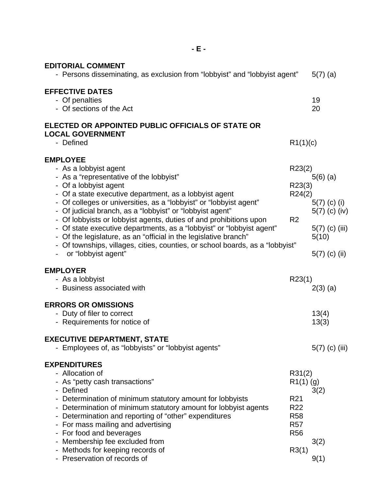| - E -                                                                                                                                                                                                                                                                                                                                                                                                                                                                                                                                                                                                                                |                                                                                                                |                                                                                                 |
|--------------------------------------------------------------------------------------------------------------------------------------------------------------------------------------------------------------------------------------------------------------------------------------------------------------------------------------------------------------------------------------------------------------------------------------------------------------------------------------------------------------------------------------------------------------------------------------------------------------------------------------|----------------------------------------------------------------------------------------------------------------|-------------------------------------------------------------------------------------------------|
| <b>EDITORIAL COMMENT</b><br>- Persons disseminating, as exclusion from "lobbyist" and "lobbyist agent"                                                                                                                                                                                                                                                                                                                                                                                                                                                                                                                               |                                                                                                                | $5(7)$ (a)                                                                                      |
| <b>EFFECTIVE DATES</b><br>- Of penalties<br>- Of sections of the Act                                                                                                                                                                                                                                                                                                                                                                                                                                                                                                                                                                 |                                                                                                                | 19<br>20                                                                                        |
| ELECTED OR APPOINTED PUBLIC OFFICIALS OF STATE OR<br><b>LOCAL GOVERNMENT</b><br>- Defined                                                                                                                                                                                                                                                                                                                                                                                                                                                                                                                                            | R1(1)(c)                                                                                                       |                                                                                                 |
| <b>EMPLOYEE</b><br>- As a lobbyist agent<br>- As a "representative of the lobbyist"<br>- Of a lobbyist agent<br>- Of a state executive department, as a lobbyist agent<br>- Of colleges or universities, as a "lobbyist" or "lobbyist agent"<br>- Of judicial branch, as a "lobbyist" or "lobbyist agent"<br>- Of lobbyists or lobbyist agents, duties of and prohibitions upon<br>- Of state executive departments, as a "lobbyist" or "lobbyist agent"<br>- Of the legislature, as an "official in the legislative branch"<br>- Of townships, villages, cities, counties, or school boards, as a "lobbyist"<br>or "lobbyist agent" | R23(2)<br>R23(3)<br>R24(2)<br>R <sub>2</sub>                                                                   | $5(6)$ (a)<br>$5(7)$ (c) (i)<br>$5(7)$ (c) (iv)<br>$5(7)$ (c) (iii)<br>5(10)<br>$5(7)$ (c) (ii) |
| <b>EMPLOYER</b><br>- As a lobbyist<br>- Business associated with                                                                                                                                                                                                                                                                                                                                                                                                                                                                                                                                                                     | R23(1)                                                                                                         | $2(3)$ (a)                                                                                      |
| <b>ERRORS OR OMISSIONS</b><br>- Duty of filer to correct<br>Requirements for notice of                                                                                                                                                                                                                                                                                                                                                                                                                                                                                                                                               |                                                                                                                | 13(4)<br>13(3)                                                                                  |
| <b>EXECUTIVE DEPARTMENT, STATE</b><br>- Employees of, as "lobbyists" or "lobbyist agents"                                                                                                                                                                                                                                                                                                                                                                                                                                                                                                                                            |                                                                                                                | $5(7)$ (c) (iii)                                                                                |
| <b>EXPENDITURES</b><br>- Allocation of<br>- As "petty cash transactions"<br>- Defined<br>- Determination of minimum statutory amount for lobbyists<br>- Determination of minimum statutory amount for lobbyist agents<br>- Determination and reporting of "other" expenditures<br>- For mass mailing and advertising<br>- For food and beverages<br>Membership fee excluded from<br>- Methods for keeping records of<br>- Preservation of records of                                                                                                                                                                                 | R31(2)<br>$R1(1)$ (g)<br>R <sub>21</sub><br>R <sub>22</sub><br><b>R58</b><br><b>R57</b><br><b>R56</b><br>R3(1) | 3(2)<br>3(2)<br>9(1)                                                                            |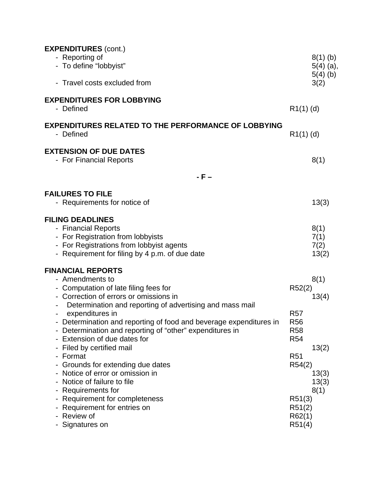| <b>EXPENDITURES (cont.)</b><br>- Reporting of<br>- To define "lobbyist"<br>- Travel costs excluded from                                                                                                                                                                                                                                                                                                                                                                                                                                                                                                                                          |                                                                                                                              | $8(1)$ (b)<br>$5(4)$ (a),<br>$5(4)$ (b)<br>3(2)  |
|--------------------------------------------------------------------------------------------------------------------------------------------------------------------------------------------------------------------------------------------------------------------------------------------------------------------------------------------------------------------------------------------------------------------------------------------------------------------------------------------------------------------------------------------------------------------------------------------------------------------------------------------------|------------------------------------------------------------------------------------------------------------------------------|--------------------------------------------------|
| <b>EXPENDITURES FOR LOBBYING</b><br>- Defined                                                                                                                                                                                                                                                                                                                                                                                                                                                                                                                                                                                                    | $R1(1)$ (d)                                                                                                                  |                                                  |
| <b>EXPENDITURES RELATED TO THE PERFORMANCE OF LOBBYING</b><br>- Defined                                                                                                                                                                                                                                                                                                                                                                                                                                                                                                                                                                          | $R1(1)$ (d)                                                                                                                  |                                                  |
| <b>EXTENSION OF DUE DATES</b><br>- For Financial Reports                                                                                                                                                                                                                                                                                                                                                                                                                                                                                                                                                                                         |                                                                                                                              | 8(1)                                             |
| - F –                                                                                                                                                                                                                                                                                                                                                                                                                                                                                                                                                                                                                                            |                                                                                                                              |                                                  |
| <b>FAILURES TO FILE</b><br>- Requirements for notice of                                                                                                                                                                                                                                                                                                                                                                                                                                                                                                                                                                                          |                                                                                                                              | 13(3)                                            |
| <b>FILING DEADLINES</b><br>- Financial Reports<br>- For Registration from lobbyists<br>- For Registrations from lobbyist agents<br>- Requirement for filing by 4 p.m. of due date                                                                                                                                                                                                                                                                                                                                                                                                                                                                |                                                                                                                              | 8(1)<br>7(1)<br>7(2)<br>13(2)                    |
| <b>FINANCIAL REPORTS</b><br>- Amendments to<br>- Computation of late filing fees for<br>- Correction of errors or omissions in<br>Determination and reporting of advertising and mass mail<br>expenditures in<br>- Determination and reporting of food and beverage expenditures in<br>- Determination and reporting of "other" expenditures in<br>Extension of due dates for<br>- Filed by certified mail<br>- Format<br>- Grounds for extending due dates<br>Notice of error or omission in<br>- Notice of failure to file<br>- Requirements for<br>Requirement for completeness<br>Requirement for entries on<br>- Review of<br>Signatures on | R52(2)<br><b>R57</b><br>R56<br><b>R58</b><br><b>R54</b><br>R <sub>51</sub><br>R54(2)<br>R51(3)<br>R51(2)<br>R62(1)<br>R51(4) | 8(1)<br>13(4)<br>13(2)<br>13(3)<br>13(3)<br>8(1) |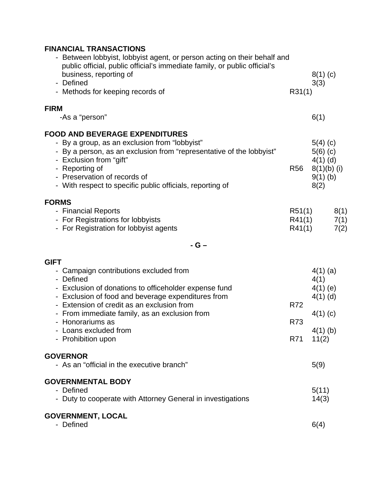| <b>FINANCIAL TRANSACTIONS</b><br>- Between lobbyist, lobbyist agent, or person acting on their behalf and                                                                                                                                                                                                                            |                            |                                                                                     |
|--------------------------------------------------------------------------------------------------------------------------------------------------------------------------------------------------------------------------------------------------------------------------------------------------------------------------------------|----------------------------|-------------------------------------------------------------------------------------|
| public official, public official's immediate family, or public official's<br>business, reporting of<br>- Defined<br>- Methods for keeping records of                                                                                                                                                                                 | R31(1)                     | $8(1)$ (c)<br>3(3)                                                                  |
| <b>FIRM</b><br>-As a "person"                                                                                                                                                                                                                                                                                                        |                            | 6(1)                                                                                |
| <b>FOOD AND BEVERAGE EXPENDITURES</b><br>- By a group, as an exclusion from "lobbyist"<br>- By a person, as an exclusion from "representative of the lobbyist"<br>- Exclusion from "gift"<br>- Reporting of<br>- Preservation of records of<br>- With respect to specific public officials, reporting of                             | R <sub>56</sub>            | $5(4)$ (c)<br>$5(6)$ (c)<br>$4(1)$ (d)<br>$8(1)(b)$ (i)<br>$9(1)$ (b)<br>8(2)       |
| <b>FORMS</b><br>- Financial Reports<br>- For Registrations for lobbyists<br>- For Registration for lobbyist agents                                                                                                                                                                                                                   | R51(1)<br>R41(1)<br>R41(1) | 8(1)<br>7(1)<br>7(2)                                                                |
| $-G -$<br><b>GIFT</b>                                                                                                                                                                                                                                                                                                                |                            |                                                                                     |
| - Campaign contributions excluded from<br>- Defined<br>- Exclusion of donations to officeholder expense fund<br>- Exclusion of food and beverage expenditures from<br>- Extension of credit as an exclusion from<br>- From immediate family, as an exclusion from<br>- Honorariums as<br>- Loans excluded from<br>- Prohibition upon | R72<br>R73<br>R71          | $4(1)$ (a)<br>4(1)<br>$4(1)$ (e)<br>$4(1)$ (d)<br>$4(1)$ (c)<br>$4(1)$ (b)<br>11(2) |
| <b>GOVERNOR</b><br>- As an "official in the executive branch"                                                                                                                                                                                                                                                                        |                            | 5(9)                                                                                |
| <b>GOVERNMENTAL BODY</b><br>- Defined<br>- Duty to cooperate with Attorney General in investigations                                                                                                                                                                                                                                 |                            | 5(11)<br>14(3)                                                                      |
| <b>GOVERNMENT, LOCAL</b><br>- Defined                                                                                                                                                                                                                                                                                                |                            | 6(4)                                                                                |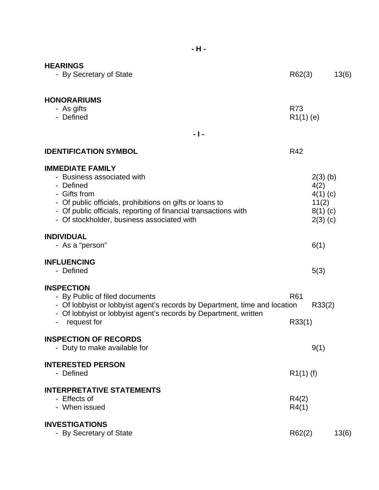| - H -                                                                                                                                                                                                                                                           |                           |                                                                       |       |
|-----------------------------------------------------------------------------------------------------------------------------------------------------------------------------------------------------------------------------------------------------------------|---------------------------|-----------------------------------------------------------------------|-------|
| <b>HEARINGS</b><br>- By Secretary of State                                                                                                                                                                                                                      | R62(3)                    |                                                                       | 13(6) |
| <b>HONORARIUMS</b><br>- As gifts<br>- Defined                                                                                                                                                                                                                   | R73<br>$R1(1)$ (e)        |                                                                       |       |
| $-1-$                                                                                                                                                                                                                                                           |                           |                                                                       |       |
| <b>IDENTIFICATION SYMBOL</b>                                                                                                                                                                                                                                    | R42                       |                                                                       |       |
| <b>IMMEDIATE FAMILY</b><br>- Business associated with<br>- Defined<br>- Gifts from<br>- Of public officials, prohibitions on gifts or loans to<br>- Of public officials, reporting of financial transactions with<br>- Of stockholder, business associated with |                           | $2(3)$ (b)<br>4(2)<br>$4(1)$ (c)<br>11(2)<br>$8(1)$ (c)<br>$2(3)$ (c) |       |
| <b>INDIVIDUAL</b><br>- As a "person"                                                                                                                                                                                                                            |                           | 6(1)                                                                  |       |
| <b>INFLUENCING</b><br>- Defined                                                                                                                                                                                                                                 |                           | 5(3)                                                                  |       |
| <b>INSPECTION</b><br>- By Public of filed documents<br>- Of lobbyist or lobbyist agent's records by Department, time and location<br>- Of lobbyist or lobbyist agent's records by Department, written<br>- request for                                          | R <sub>61</sub><br>R33(1) | R33(2)                                                                |       |
| <b>INSPECTION OF RECORDS</b><br>- Duty to make available for                                                                                                                                                                                                    |                           | 9(1)                                                                  |       |
| <b>INTERESTED PERSON</b><br>- Defined                                                                                                                                                                                                                           | $R1(1)$ (f)               |                                                                       |       |
| <b>INTERPRETATIVE STATEMENTS</b><br>- Effects of<br>- When issued                                                                                                                                                                                               | R4(2)<br>R4(1)            |                                                                       |       |
| <b>INVESTIGATIONS</b><br>- By Secretary of State                                                                                                                                                                                                                | R62(2)                    |                                                                       | 13(6) |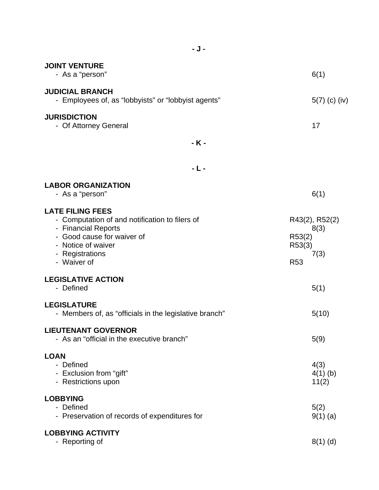| - J -                                                                                                                                                                                  |                                                                  |
|----------------------------------------------------------------------------------------------------------------------------------------------------------------------------------------|------------------------------------------------------------------|
| <b>JOINT VENTURE</b><br>- As a "person"                                                                                                                                                | 6(1)                                                             |
| <b>JUDICIAL BRANCH</b><br>- Employees of, as "lobbyists" or "lobbyist agents"                                                                                                          | $5(7)$ (c) (iv)                                                  |
| <b>JURISDICTION</b><br>- Of Attorney General                                                                                                                                           | 17                                                               |
| - K -                                                                                                                                                                                  |                                                                  |
| - L -                                                                                                                                                                                  |                                                                  |
| <b>LABOR ORGANIZATION</b><br>- As a "person"                                                                                                                                           | 6(1)                                                             |
| <b>LATE FILING FEES</b><br>- Computation of and notification to filers of<br>- Financial Reports<br>- Good cause for waiver of<br>- Notice of waiver<br>- Registrations<br>- Waiver of | R43(2), R52(2)<br>8(3)<br>R53(2)<br>R53(3)<br>7(3)<br><b>R53</b> |
| <b>LEGISLATIVE ACTION</b><br>- Defined                                                                                                                                                 | 5(1)                                                             |
| <b>LEGISLATURE</b><br>- Members of, as "officials in the legislative branch"                                                                                                           | 5(10)                                                            |
| <b>LIEUTENANT GOVERNOR</b><br>- As an "official in the executive branch"                                                                                                               | 5(9)                                                             |
| <b>LOAN</b><br>- Defined<br>- Exclusion from "gift"<br>- Restrictions upon                                                                                                             | 4(3)<br>$4(1)$ (b)<br>11(2)                                      |
| <b>LOBBYING</b><br>- Defined<br>- Preservation of records of expenditures for                                                                                                          | 5(2)<br>$9(1)$ (a)                                               |
| <b>LOBBYING ACTIVITY</b><br>- Reporting of                                                                                                                                             | $8(1)$ (d)                                                       |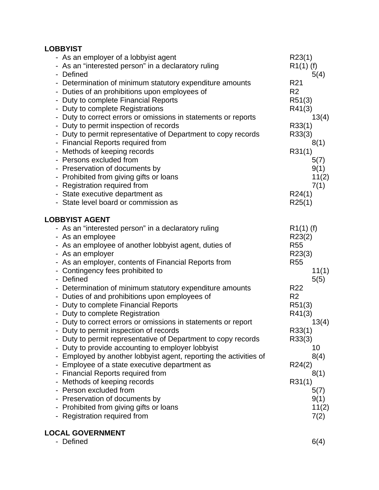### **LOBBYIST**

|  | - As an employer of a lobbyist agent<br>- As an "interested person" in a declaratory ruling | R23(1)<br>$R1(1)$ (f) |       |
|--|---------------------------------------------------------------------------------------------|-----------------------|-------|
|  | - Defined                                                                                   |                       | 5(4)  |
|  | - Determination of minimum statutory expenditure amounts                                    | R <sub>21</sub>       |       |
|  | - Duties of an prohibitions upon employees of                                               | R <sub>2</sub>        |       |
|  | - Duty to complete Financial Reports                                                        | R51(3)                |       |
|  | - Duty to complete Registrations                                                            | R41(3)                |       |
|  | - Duty to correct errors or omissions in statements or reports                              |                       | 13(4) |
|  | - Duty to permit inspection of records                                                      | R33(1)                |       |
|  | - Duty to permit representative of Department to copy records                               | R33(3)                |       |
|  | - Financial Reports required from                                                           |                       | 8(1)  |
|  | - Methods of keeping records                                                                | R31(1)                |       |
|  | - Persons excluded from                                                                     |                       | 5(7)  |
|  | - Preservation of documents by                                                              |                       | 9(1)  |
|  | - Prohibited from giving gifts or loans                                                     |                       | 11(2) |
|  | - Registration required from                                                                |                       | 7(1)  |
|  | - State executive department as                                                             | R24(1)                |       |
|  | - State level board or commission as                                                        | R25(1)                |       |
|  |                                                                                             |                       |       |
|  | <b>LOBBYIST AGENT</b>                                                                       |                       |       |
|  | - As an "interested person" in a declaratory ruling                                         | $R1(1)$ (f)           |       |
|  | - As an employee                                                                            | R23(2)                |       |
|  | - As an employee of another lobbyist agent, duties of                                       | <b>R55</b>            |       |
|  | - As an employer                                                                            | R23(3)                |       |
|  | - As an employer, contents of Financial Reports from                                        | <b>R55</b>            |       |
|  | - Contingency fees prohibited to                                                            |                       | 11(1) |
|  | - Defined                                                                                   |                       | 5(5)  |
|  | - Determination of minimum statutory expenditure amounts                                    | R <sub>22</sub>       |       |
|  | - Duties of and prohibitions upon employees of                                              | R <sub>2</sub>        |       |
|  | - Duty to complete Financial Reports                                                        | R51(3)                |       |
|  | - Duty to complete Registration                                                             | R41(3)                |       |
|  | - Duty to correct errors or omissions in statements or report                               |                       | 13(4) |
|  | Duty to permit inspection of records                                                        | R33(1)                |       |
|  | Duty to permit representative of Department to copy records                                 | R33(3)                |       |
|  | Duty to provide accounting to employer lobbyist                                             |                       | 10    |
|  | - Employed by another lobbyist agent, reporting the activities of                           |                       | 8(4)  |
|  | Employee of a state executive department as                                                 | R24(2)                |       |
|  | - Financial Reports required from                                                           |                       | 8(1)  |
|  | - Methods of keeping records                                                                | R31(1)                |       |
|  | Person excluded from                                                                        |                       | 5(7)  |
|  | - Preservation of documents by                                                              |                       | 9(1)  |
|  | - Prohibited from giving gifts or loans                                                     |                       | 11(2) |
|  | - Registration required from                                                                |                       | 7(2)  |
|  |                                                                                             |                       |       |
|  |                                                                                             |                       |       |

## **LOCAL GOVERNMENT**

| - Defined | 6(4) |
|-----------|------|
|-----------|------|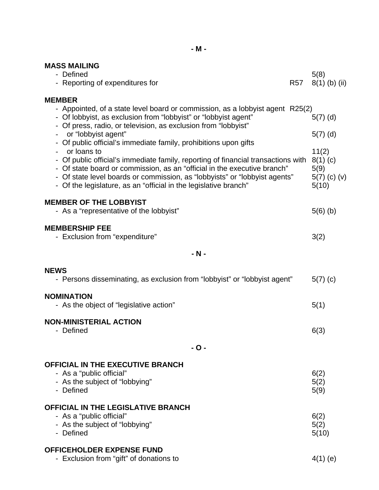# **MASS MAILING**

| MASS MAILING                                                                                                                                   |            |                         |
|------------------------------------------------------------------------------------------------------------------------------------------------|------------|-------------------------|
| - Defined                                                                                                                                      |            | 5(8)                    |
| - Reporting of expenditures for                                                                                                                | <b>R57</b> | $8(1)$ (b) (ii)         |
| <b>MEMBER</b>                                                                                                                                  |            |                         |
| - Appointed, of a state level board or commission, as a lobbyist agent R25(2)                                                                  |            |                         |
| - Of lobbyist, as exclusion from "lobbyist" or "lobbyist agent"                                                                                |            | $5(7)$ (d)              |
| Of press, radio, or television, as exclusion from "lobbyist"<br>or "lobbyist agent"                                                            |            | $5(7)$ (d)              |
| - Of public official's immediate family, prohibitions upon gifts                                                                               |            |                         |
| or loans to                                                                                                                                    |            | 11(2)                   |
| - Of public official's immediate family, reporting of financial transactions with                                                              |            | $8(1)$ (c)              |
| - Of state board or commission, as an "official in the executive branch"                                                                       |            | 5(9)                    |
| - Of state level boards or commission, as "lobbyists" or "lobbyist agents"<br>- Of the legislature, as an "official in the legislative branch" |            | $5(7)$ (c) (v)<br>5(10) |
|                                                                                                                                                |            |                         |
| <b>MEMBER OF THE LOBBYIST</b>                                                                                                                  |            |                         |
| - As a "representative of the lobbyist"                                                                                                        |            | $5(6)$ (b)              |
| <b>MEMBERSHIP FEE</b>                                                                                                                          |            |                         |
| - Exclusion from "expenditure"                                                                                                                 |            | 3(2)                    |
|                                                                                                                                                |            |                         |
| $- N -$                                                                                                                                        |            |                         |
| <b>NEWS</b>                                                                                                                                    |            |                         |
| - Persons disseminating, as exclusion from "lobbyist" or "lobbyist agent"                                                                      |            | $5(7)$ (c)              |
|                                                                                                                                                |            |                         |
| <b>NOMINATION</b>                                                                                                                              |            |                         |
| - As the object of "legislative action"                                                                                                        |            | 5(1)                    |
| <b>NON-MINISTERIAL ACTION</b>                                                                                                                  |            |                         |
| - Defined                                                                                                                                      |            | 6(3)                    |
|                                                                                                                                                |            |                         |
| - O -                                                                                                                                          |            |                         |
| <b>OFFICIAL IN THE EXECUTIVE BRANCH</b>                                                                                                        |            |                         |
| - As a "public official"                                                                                                                       |            | 6(2)                    |
| - As the subject of "lobbying"                                                                                                                 |            | 5(2)                    |
| - Defined                                                                                                                                      |            | 5(9)                    |
| <b>OFFICIAL IN THE LEGISLATIVE BRANCH</b>                                                                                                      |            |                         |
| - As a "public official"                                                                                                                       |            | 6(2)                    |
| - As the subject of "lobbying"                                                                                                                 |            | 5(2)                    |
| - Defined                                                                                                                                      |            | 5(10)                   |
| <b>OFFICEHOLDER EXPENSE FUND</b>                                                                                                               |            |                         |

- Exclusion from "gift" of donations to  $4(1)$  (e)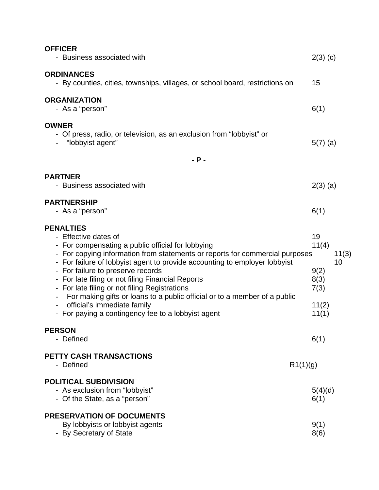| <b>OFFICER</b><br>- Business associated with                                                                                                                                                                                                                                                                                                                                                                                                                                                                                                                             | $2(3)$ (c)                                                           |
|--------------------------------------------------------------------------------------------------------------------------------------------------------------------------------------------------------------------------------------------------------------------------------------------------------------------------------------------------------------------------------------------------------------------------------------------------------------------------------------------------------------------------------------------------------------------------|----------------------------------------------------------------------|
| <b>ORDINANCES</b><br>- By counties, cities, townships, villages, or school board, restrictions on                                                                                                                                                                                                                                                                                                                                                                                                                                                                        | 15                                                                   |
| <b>ORGANIZATION</b><br>- As a "person"                                                                                                                                                                                                                                                                                                                                                                                                                                                                                                                                   | 6(1)                                                                 |
| <b>OWNER</b><br>- Of press, radio, or television, as an exclusion from "lobbyist" or<br>"lobbyist agent"                                                                                                                                                                                                                                                                                                                                                                                                                                                                 | $5(7)$ (a)                                                           |
| $-$ P $-$                                                                                                                                                                                                                                                                                                                                                                                                                                                                                                                                                                |                                                                      |
| <b>PARTNER</b><br>- Business associated with                                                                                                                                                                                                                                                                                                                                                                                                                                                                                                                             | $2(3)$ (a)                                                           |
| <b>PARTNERSHIP</b><br>- As a "person"                                                                                                                                                                                                                                                                                                                                                                                                                                                                                                                                    | 6(1)                                                                 |
| <b>PENALTIES</b><br>- Effective dates of<br>- For compensating a public official for lobbying<br>- For copying information from statements or reports for commercial purposes<br>- For failure of lobbyist agent to provide accounting to employer lobbyist<br>- For failure to preserve records<br>- For late filing or not filing Financial Reports<br>- For late filing or not filing Registrations<br>For making gifts or loans to a public official or to a member of a public<br>official's immediate family<br>- For paying a contingency fee to a lobbyist agent | 19<br>11(4)<br>11(3)<br>10<br>9(2)<br>8(3)<br>7(3)<br>11(2)<br>11(1) |
| <b>PERSON</b><br>- Defined                                                                                                                                                                                                                                                                                                                                                                                                                                                                                                                                               | 6(1)                                                                 |
| <b>PETTY CASH TRANSACTIONS</b><br>- Defined                                                                                                                                                                                                                                                                                                                                                                                                                                                                                                                              | R1(1)(g)                                                             |
| <b>POLITICAL SUBDIVISION</b><br>- As exclusion from "lobbyist"<br>- Of the State, as a "person"                                                                                                                                                                                                                                                                                                                                                                                                                                                                          | 5(4)(d)<br>6(1)                                                      |
| <b>PRESERVATION OF DOCUMENTS</b><br>- By lobbyists or lobbyist agents<br>- By Secretary of State                                                                                                                                                                                                                                                                                                                                                                                                                                                                         | 9(1)<br>8(6)                                                         |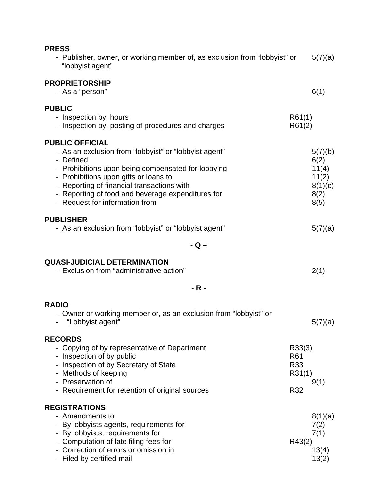| <b>PRESS</b><br>- Publisher, owner, or working member of, as exclusion from "lobbyist" or<br>"lobbyist agent"                                                                                                                                                                                                                    |                                       | 5(7)(a)                                                      |
|----------------------------------------------------------------------------------------------------------------------------------------------------------------------------------------------------------------------------------------------------------------------------------------------------------------------------------|---------------------------------------|--------------------------------------------------------------|
| <b>PROPRIETORSHIP</b><br>- As a "person"                                                                                                                                                                                                                                                                                         |                                       | 6(1)                                                         |
| <b>PUBLIC</b><br>- Inspection by, hours<br>- Inspection by, posting of procedures and charges                                                                                                                                                                                                                                    | R61(1)<br>R61(2)                      |                                                              |
| <b>PUBLIC OFFICIAL</b><br>- As an exclusion from "lobbyist" or "lobbyist agent"<br>- Defined<br>- Prohibitions upon being compensated for lobbying<br>- Prohibitions upon gifts or loans to<br>- Reporting of financial transactions with<br>- Reporting of food and beverage expenditures for<br>- Request for information from |                                       | 5(7)(b)<br>6(2)<br>11(4)<br>11(2)<br>8(1)(c)<br>8(2)<br>8(5) |
| <b>PUBLISHER</b><br>- As an exclusion from "lobbyist" or "lobbyist agent"                                                                                                                                                                                                                                                        |                                       | 5(7)(a)                                                      |
| $-Q -$                                                                                                                                                                                                                                                                                                                           |                                       |                                                              |
| <b>QUASI-JUDICIAL DETERMINATION</b><br>- Exclusion from "administrative action"                                                                                                                                                                                                                                                  |                                       | 2(1)                                                         |
| - R -                                                                                                                                                                                                                                                                                                                            |                                       |                                                              |
| <b>RADIO</b><br>- Owner or working member or, as an exclusion from "lobbyist" or<br>"Lobbyist agent"                                                                                                                                                                                                                             |                                       | 5(7)(a)                                                      |
| <b>RECORDS</b><br>- Copying of by representative of Department<br>- Inspection of by public<br>- Inspection of by Secretary of State<br>- Methods of keeping<br>- Preservation of<br>- Requirement for retention of original sources                                                                                             | R33(3)<br>R61<br>R33<br>R31(1)<br>R32 | 9(1)                                                         |
| <b>REGISTRATIONS</b><br>- Amendments to<br>- By lobbyists agents, requirements for<br>- By lobbyists, requirements for<br>- Computation of late filing fees for<br>- Correction of errors or omission in<br>- Filed by certified mail                                                                                            | R43(2)                                | 8(1)(a)<br>7(2)<br>7(1)<br>13(4)<br>13(2)                    |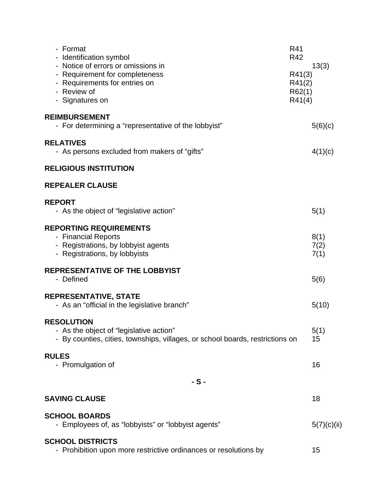| - Format<br>- Identification symbol<br>- Notice of errors or omissions in<br>- Requirement for completeness<br>- Requirements for entries on<br>- Review of<br>- Signatures on | R41<br>R42<br>13(3)<br>R41(3)<br>R41(2)<br>R62(1)<br>R41(4) |
|--------------------------------------------------------------------------------------------------------------------------------------------------------------------------------|-------------------------------------------------------------|
| <b>REIMBURSEMENT</b><br>- For determining a "representative of the lobbyist"                                                                                                   | 5(6)(c)                                                     |
| <b>RELATIVES</b><br>- As persons excluded from makers of "gifts"                                                                                                               | 4(1)(c)                                                     |
| <b>RELIGIOUS INSTITUTION</b>                                                                                                                                                   |                                                             |
| <b>REPEALER CLAUSE</b>                                                                                                                                                         |                                                             |
| <b>REPORT</b><br>- As the object of "legislative action"                                                                                                                       | 5(1)                                                        |
| <b>REPORTING REQUIREMENTS</b><br>- Financial Reports<br>- Registrations, by lobbyist agents<br>- Registrations, by lobbyists                                                   | 8(1)<br>7(2)<br>7(1)                                        |
| <b>REPRESENTATIVE OF THE LOBBYIST</b><br>- Defined                                                                                                                             | 5(6)                                                        |
| <b>REPRESENTATIVE, STATE</b><br>- As an "official in the legislative branch"                                                                                                   | 5(10)                                                       |
| <b>RESOLUTION</b><br>- As the object of "legislative action"<br>- By counties, cities, townships, villages, or school boards, restrictions on                                  | 5(1)<br>15                                                  |
| <b>RULES</b><br>- Promulgation of                                                                                                                                              | 16                                                          |
| $-S-$                                                                                                                                                                          |                                                             |
| <b>SAVING CLAUSE</b>                                                                                                                                                           | 18                                                          |
| <b>SCHOOL BOARDS</b><br>- Employees of, as "lobbyists" or "lobbyist agents"                                                                                                    | 5(7)(c)(ii)                                                 |
| <b>SCHOOL DISTRICTS</b><br>- Prohibition upon more restrictive ordinances or resolutions by                                                                                    | 15                                                          |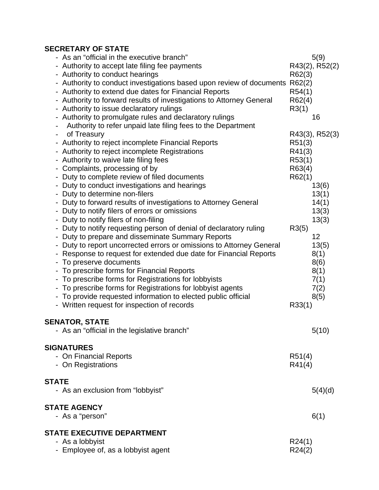# **SECRETARY OF STATE**

| - As an "official in the executive branch"                           | 5(9)           |
|----------------------------------------------------------------------|----------------|
| - Authority to accept late filing fee payments                       | R43(2), R52(2) |
| - Authority to conduct hearings                                      | R62(3)         |
| - Authority to conduct investigations based upon review of documents | R62(2)         |
| - Authority to extend due dates for Financial Reports                | R54(1)         |
| - Authority to forward results of investigations to Attorney General | R62(4)         |
| - Authority to issue declaratory rulings                             | R3(1)          |
| - Authority to promulgate rules and declaratory rulings              | 16             |
| Authority to refer unpaid late filing fees to the Department         |                |
| of Treasury                                                          | R43(3), R52(3) |
| - Authority to reject incomplete Financial Reports                   | R51(3)         |
| - Authority to reject incomplete Registrations                       | R41(3)         |
| - Authority to waive late filing fees                                | R53(1)         |
| - Complaints, processing of by                                       | R63(4)         |
| - Duty to complete review of filed documents                         | R62(1)         |
| - Duty to conduct investigations and hearings                        | 13(6)          |
| - Duty to determine non-filers                                       | 13(1)          |
| - Duty to forward results of investigations to Attorney General      | 14(1)          |
| - Duty to notify filers of errors or omissions                       | 13(3)          |
| - Duty to notify filers of non-filing                                | 13(3)          |
| - Duty to notify requesting person of denial of declaratory ruling   | R3(5)          |
| - Duty to prepare and disseminate Summary Reports                    | 12             |
| - Duty to report uncorrected errors or omissions to Attorney General | 13(5)          |
| Response to request for extended due date for Financial Reports      | 8(1)           |
| - To preserve documents                                              | 8(6)           |
| - To prescribe forms for Financial Reports                           | 8(1)           |
| - To prescribe forms for Registrations for lobbyists                 | 7(1)           |
| - To prescribe forms for Registrations for lobbyist agents           | 7(2)           |
| - To provide requested information to elected public official        | 8(5)           |
| - Written request for inspection of records                          | R33(1)         |
|                                                                      |                |
| <b>SENATOR, STATE</b>                                                |                |
| - As an "official in the legislative branch"                         | 5(10)          |
| <b>SIGNATURES</b>                                                    |                |
| - On Financial Reports                                               | R51(4)         |
| - On Registrations                                                   | R41(4)         |
|                                                                      |                |
| <b>STATE</b>                                                         |                |
| - As an exclusion from "lobbyist"                                    | 5(4)(d)        |
| <b>STATE AGENCY</b>                                                  |                |
| - As a "person"                                                      | 6(1)           |
|                                                                      |                |
| <b>STATE EXECUTIVE DEPARTMENT</b><br>- As a lobbyist                 | R24(1)         |
| - Employee of, as a lobbyist agent                                   | R24(2)         |
|                                                                      |                |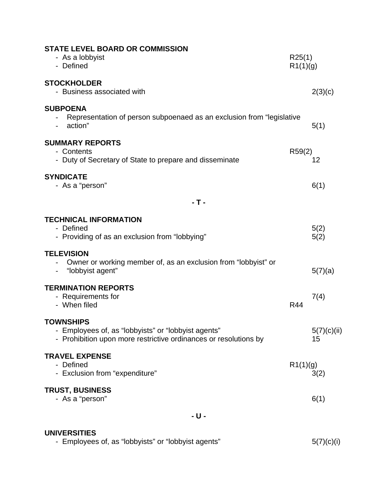| <b>STATE LEVEL BOARD OR COMMISSION</b><br>- As a lobbyist<br>- Defined                                                                      | R25(1)<br>R1(1)(g) |                   |  |
|---------------------------------------------------------------------------------------------------------------------------------------------|--------------------|-------------------|--|
| <b>STOCKHOLDER</b><br>- Business associated with                                                                                            |                    | 2(3)(c)           |  |
| <b>SUBPOENA</b><br>Representation of person subpoenaed as an exclusion from "legislative<br>action"                                         |                    | 5(1)              |  |
| <b>SUMMARY REPORTS</b><br>- Contents<br>- Duty of Secretary of State to prepare and disseminate                                             | R59(2)             | 12                |  |
| <b>SYNDICATE</b><br>- As a "person"                                                                                                         |                    | 6(1)              |  |
| - T -                                                                                                                                       |                    |                   |  |
| <b>TECHNICAL INFORMATION</b><br>- Defined<br>- Providing of as an exclusion from "lobbying"                                                 |                    | 5(2)<br>5(2)      |  |
| <b>TELEVISION</b><br>Owner or working member of, as an exclusion from "lobbyist" or<br>"lobbyist agent"                                     |                    | 5(7)(a)           |  |
| <b>TERMINATION REPORTS</b><br>- Requirements for<br>- When filed                                                                            | R44                | 7(4)              |  |
| <b>TOWNSHIPS</b><br>- Employees of, as "lobbyists" or "lobbyist agents"<br>- Prohibition upon more restrictive ordinances or resolutions by |                    | 5(7)(c)(ii)<br>15 |  |
| <b>TRAVEL EXPENSE</b><br>- Defined<br>- Exclusion from "expenditure"                                                                        | R1(1)(g)           | 3(2)              |  |
| <b>TRUST, BUSINESS</b><br>- As a "person"                                                                                                   |                    | 6(1)              |  |
| - U -                                                                                                                                       |                    |                   |  |
|                                                                                                                                             |                    |                   |  |

**UNIVERSITIES** 

- Employees of, as "lobbyists" or "lobbyist agents"  $5(7)(c)(i)$